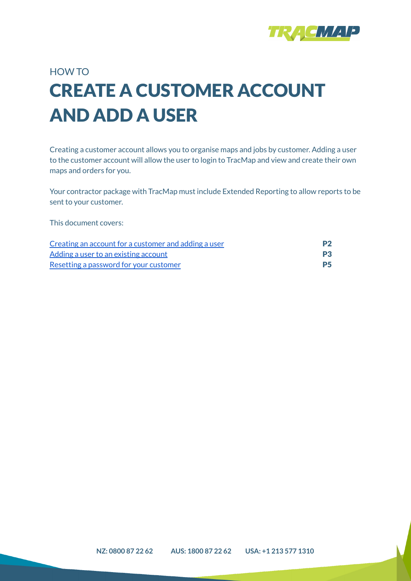

# HOW TO CREATE A CUSTOMER ACCOUNT AND ADD A USER

Creating a customer account allows you to organise maps and jobs by customer. Adding a user to the customer account will allow the user to login to TracMap and view and create their own maps and orders for you.

Your contractor package with TracMap must include Extended Reporting to allow reports to be sent to your customer.

This document covers:

| Creating an account for a customer and adding a user | P <sub>2</sub> |
|------------------------------------------------------|----------------|
| Adding a user to an existing account                 | P <sub>3</sub> |
| Resetting a password for your customer               | <b>P5</b>      |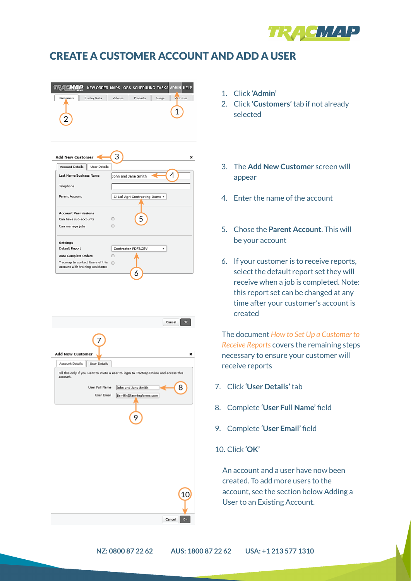

#### <span id="page-1-0"></span>CREATE A CUSTOMER ACCOUNT AND ADD A USER

|                            |          |          |       | NEW ORDER MAPS JOBS SCHEDULING TASKS ADMIN HELP |
|----------------------------|----------|----------|-------|-------------------------------------------------|
| Display Units<br>Customers | Vehicles | Products | Usage | Activities                                      |



|                                        | ${\bf Ok}$<br>Cancel                                                                   |
|----------------------------------------|----------------------------------------------------------------------------------------|
|                                        |                                                                                        |
| <b>Add New Customer</b>                | ×                                                                                      |
| Account Details<br><b>User Details</b> |                                                                                        |
| account.                               | Fill this only if you want to invite a user to login to TracMap Online and access this |
| User Full Name                         | 8<br>John and Jane Smith                                                               |
| User Email                             | dismith@farmingfarms.com                                                               |
|                                        |                                                                                        |
|                                        |                                                                                        |
|                                        | 9                                                                                      |
|                                        |                                                                                        |
|                                        |                                                                                        |
|                                        |                                                                                        |
|                                        |                                                                                        |
|                                        |                                                                                        |
|                                        |                                                                                        |
|                                        |                                                                                        |
|                                        | 10                                                                                     |
|                                        |                                                                                        |
|                                        |                                                                                        |
|                                        | Cancel<br>Ok                                                                           |

- 1. Click **'Admin'**
- 2. Click **'Customers'** tab if not already selected
- 3. The **Add New Customer** screen will appear
- 4. Enter the name of the account
- 5. Chose the **Parent Account**. This will be your account
- 6. If your customer is to receive reports, select the default report set they will receive when a job is completed. Note: this report set can be changed at any time after your customer's account is created

The document *How to Set Up a Customer to Receive Reports* covers the remaining steps necessary to ensure your customer will receive reports

- 7. Click **'User Details'** tab
- 8. Complete **'User Full Name'** field
- 9. Complete **'User Email'** field
- 10. Click **'OK'**

An account and a user have now been created. To add more users to the account, see the section below Adding a User to an Existing Account.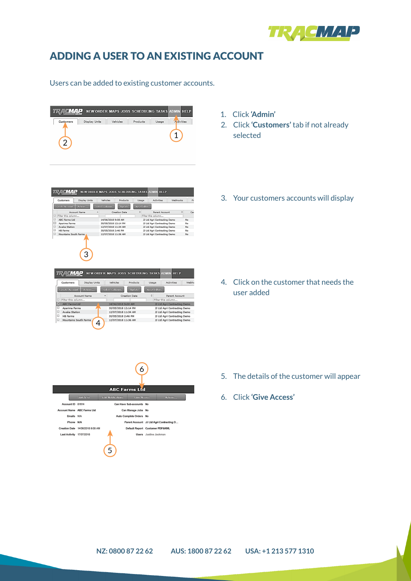

## <span id="page-2-0"></span>ADDING A USER TO AN EXISTING ACCOUNT

Users can be added to existing customer accounts.



**TRACMAP** NEW ORDER MAPS JOBS SCHEDULING TASKS ADMIN HELP Customers Display Units Vehicles Products Usage

A Creation Date

14/06/2018 9:08 AM

30/05/2018 12:14 PM<br>12/07/2018 11:34 AM<br>30/05/2018 2:46 PM<br>12/07/2018 11:36 AM

**TRACMAP** NEW ORDER MAPS JOBS SCHEDULING TASKS ADMIN HELP Customers Display Units Vehicles Products Usage Activities Webho

30/05/2018 12:14 PM<br>12/07/2018 11:34 AM

30/05/2018 2:46 PM

12/07/2018 11:36 AM

Select Columns Update Reset Filters<br>
A Creation Date C<br>
Filter this

Filter this column...<br>14/06/2018 9:08 AM 14/06/2018 9:08 AM

Create Account Actions... Select Columns Update Reset Filters

 $\boxed{4}$ 

 $\begin{tabular}{|c|c|c|c|c|c|c|c|} \hline \textbf{Create Account} & \textbf{\textit{Action}} & \textbf{\textit{Select} Columps} & \textbf{\textit{Update}} & \textbf{\textit{Reset} Fihers} \\ \hline \end{tabular}$ 

Create Account | Actions...<br>| Account Name<br>□ Filter this column...<br>□ ABC Farms I tri

ABC Farms Ltd<br>Aparima Farms<br>Awaka Station<br>HB Farms<br>Mountains South Farms

 $\overline{3}$ 

Account Name

ABC Farms Ltd Aparima Farms<br>Awaka Station<br>HB Farms

Mountains South Farms

ŏ



- 2. Click **'Customers'** tab if not already selected
- 3. Your customers accounts will display

4. Click on the customer that needs the user added

6 5. The details of the customer will appear **ABC Farms Ltd** 6. Click **'Give Access'** Can Have Sub-accounts No Can Manage Jobs No

Activities Webhooks Fi

No<br>No<br>No<br>No

Parent Account

33 Ltd Agri Contracting Demo<br>33 Ltd Agri Contracting Demo<br>33 Ltd Agri Contracting Demo

JJ Ltd Agri Contracting Demo

set Filters<br>  $\circ$ <br>
Parent Account  $\circ$  Car<br>
Filter this column... Parent Account<br>
Distre this column...<br>
20 Ltd Agri Contracting Demo<br>
20 Ltd Agri Contracting Demo<br>
20 Ltd Agri Contracting Demo<br>
20 Ltd Agri Contracting Demo<br>
20 Ltd Agri Contracting Demo<br>
20 Ltd Agri Contracting Demo

Switch To Account ID 81614 Account Name ABC Farms Ltd Emails N/A Auto Complete Orders No Phone N/A Parent Account JJ Ltd Agri Contracting D... Creation Date 14/06/2018 9:08 AM Default Report Customer PDF&KML Last Activity 17/07/2018 Users Justine Jackman 5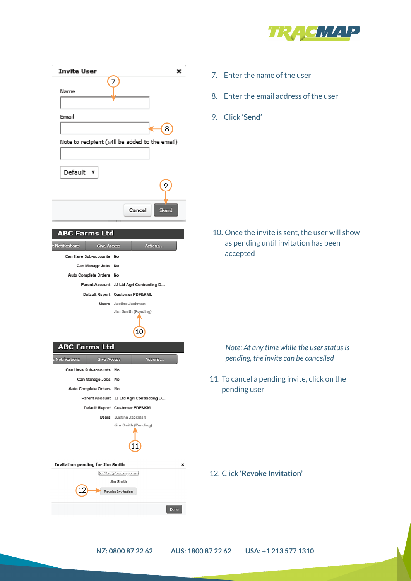

| <b>Invite User</b>                                          | x<br>7                                                    | 7. Ente                |
|-------------------------------------------------------------|-----------------------------------------------------------|------------------------|
| Name                                                        |                                                           | Ente<br>8.             |
| Email                                                       |                                                           | Clicl<br>9.            |
|                                                             | 8<br>Note to recipient (will be added to the email)       |                        |
|                                                             |                                                           |                        |
| Default v                                                   | 9                                                         |                        |
|                                                             | Cancel<br>Send                                            |                        |
| <b>ABC Farms Ltd</b><br>Notifications<br><b>Give Access</b> | Actions                                                   | <b>10. Onc</b><br>as p |
| Can Have Sub-accounts No                                    |                                                           | acc <sub>6</sub>       |
| Can Manage Jobs No                                          |                                                           |                        |
| Auto Complete Orders No                                     |                                                           |                        |
|                                                             | Parent Account JJ Ltd Agri Contracting D                  |                        |
|                                                             | Default Report Customer PDF&KML                           |                        |
|                                                             | <b>Users</b> Justine Jackman<br>Jim Smith (Pending)<br>10 |                        |
| <b>ABC Farms Ltd</b>                                        |                                                           | Not                    |
| <b>Notifications</b><br><b>Give Access</b>                  | Actions                                                   | pend                   |
| Can Have Sub-accounts No                                    |                                                           |                        |
| Can Manage Jobs No                                          |                                                           | 11. To ca              |
| Auto Complete Orders No                                     |                                                           | pend                   |
|                                                             | Parent Account JJ Ltd Agri Contracting D                  |                        |
|                                                             | Default Report Customer PDF&KML                           |                        |
|                                                             | Users Justine Jackman<br>Jim Smith (Pending)              |                        |
|                                                             | 11                                                        |                        |
| Invitation pending for Jim Smith                            | ×                                                         |                        |
|                                                             | funtinual es unaqueura<br>Jim Smith                       | 12. Click              |
|                                                             | Revoke Invitation                                         |                        |
|                                                             | Done                                                      |                        |
|                                                             |                                                           |                        |

- er the name of the user
- er the email address of the user
- 9. Click **'Send'**

the invite is sent, the user will show ending until invitation has been epted

*Note: At any time while the userstatusis pending, the invite can be cancelled*

Incel a pending invite, click on the ling user

12. Click **'Revoke Invitation'**